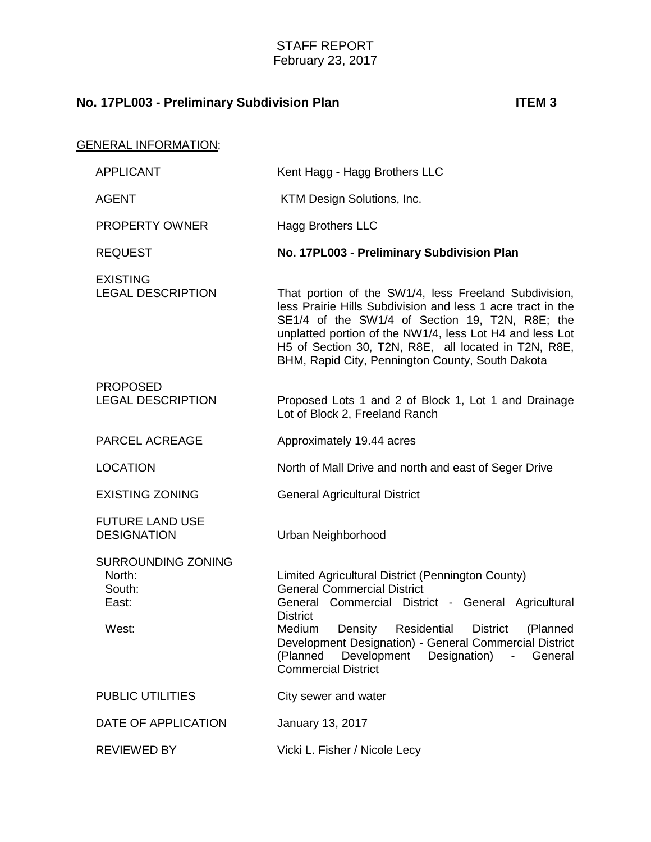| GENERAL INFORMATION:                                            |                                                                                                                                                                                                                                                                                                                                                                                               |
|-----------------------------------------------------------------|-----------------------------------------------------------------------------------------------------------------------------------------------------------------------------------------------------------------------------------------------------------------------------------------------------------------------------------------------------------------------------------------------|
| <b>APPLICANT</b>                                                | Kent Hagg - Hagg Brothers LLC                                                                                                                                                                                                                                                                                                                                                                 |
| <b>AGENT</b>                                                    | KTM Design Solutions, Inc.                                                                                                                                                                                                                                                                                                                                                                    |
| <b>PROPERTY OWNER</b>                                           | <b>Hagg Brothers LLC</b>                                                                                                                                                                                                                                                                                                                                                                      |
| <b>REQUEST</b>                                                  | No. 17PL003 - Preliminary Subdivision Plan                                                                                                                                                                                                                                                                                                                                                    |
| <b>EXISTING</b><br><b>LEGAL DESCRIPTION</b>                     | That portion of the SW1/4, less Freeland Subdivision,<br>less Prairie Hills Subdivision and less 1 acre tract in the<br>SE1/4 of the SW1/4 of Section 19, T2N, R8E; the<br>unplatted portion of the NW1/4, less Lot H4 and less Lot<br>H5 of Section 30, T2N, R8E, all located in T2N, R8E,<br>BHM, Rapid City, Pennington County, South Dakota                                               |
| <b>PROPOSED</b><br><b>LEGAL DESCRIPTION</b>                     | Proposed Lots 1 and 2 of Block 1, Lot 1 and Drainage<br>Lot of Block 2, Freeland Ranch                                                                                                                                                                                                                                                                                                        |
| <b>PARCEL ACREAGE</b>                                           | Approximately 19.44 acres                                                                                                                                                                                                                                                                                                                                                                     |
| <b>LOCATION</b>                                                 | North of Mall Drive and north and east of Seger Drive                                                                                                                                                                                                                                                                                                                                         |
| <b>EXISTING ZONING</b>                                          | <b>General Agricultural District</b>                                                                                                                                                                                                                                                                                                                                                          |
| <b>FUTURE LAND USE</b><br><b>DESIGNATION</b>                    | Urban Neighborhood                                                                                                                                                                                                                                                                                                                                                                            |
| <b>SURROUNDING ZONING</b><br>North:<br>South:<br>East:<br>West: | Limited Agricultural District (Pennington County)<br><b>General Commercial District</b><br>General Commercial District - General Agricultural<br><b>District</b><br>Medium<br>Density<br>Residential<br><b>District</b><br>(Planned<br>Development Designation) - General Commercial District<br>(Planned Development Designation)<br>$\blacksquare$<br>General<br><b>Commercial District</b> |
| <b>PUBLIC UTILITIES</b>                                         | City sewer and water                                                                                                                                                                                                                                                                                                                                                                          |
| DATE OF APPLICATION                                             | January 13, 2017                                                                                                                                                                                                                                                                                                                                                                              |
| <b>REVIEWED BY</b>                                              | Vicki L. Fisher / Nicole Lecy                                                                                                                                                                                                                                                                                                                                                                 |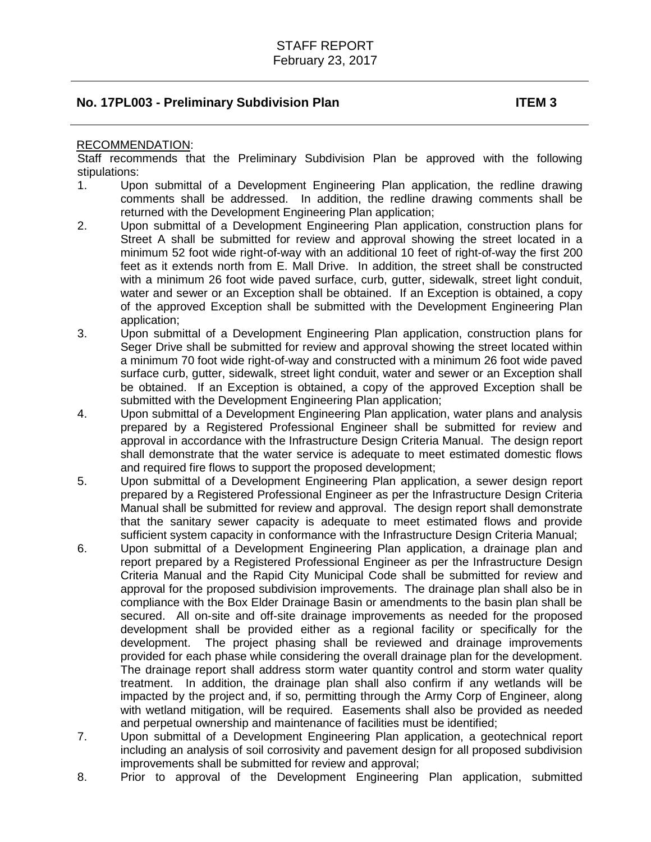#### RECOMMENDATION:

Staff recommends that the Preliminary Subdivision Plan be approved with the following stipulations:

- 1. Upon submittal of a Development Engineering Plan application, the redline drawing comments shall be addressed. In addition, the redline drawing comments shall be returned with the Development Engineering Plan application;
- 2. Upon submittal of a Development Engineering Plan application, construction plans for Street A shall be submitted for review and approval showing the street located in a minimum 52 foot wide right-of-way with an additional 10 feet of right-of-way the first 200 feet as it extends north from E. Mall Drive. In addition, the street shall be constructed with a minimum 26 foot wide paved surface, curb, gutter, sidewalk, street light conduit, water and sewer or an Exception shall be obtained. If an Exception is obtained, a copy of the approved Exception shall be submitted with the Development Engineering Plan application;
- 3. Upon submittal of a Development Engineering Plan application, construction plans for Seger Drive shall be submitted for review and approval showing the street located within a minimum 70 foot wide right-of-way and constructed with a minimum 26 foot wide paved surface curb, gutter, sidewalk, street light conduit, water and sewer or an Exception shall be obtained. If an Exception is obtained, a copy of the approved Exception shall be submitted with the Development Engineering Plan application;
- 4. Upon submittal of a Development Engineering Plan application, water plans and analysis prepared by a Registered Professional Engineer shall be submitted for review and approval in accordance with the Infrastructure Design Criteria Manual. The design report shall demonstrate that the water service is adequate to meet estimated domestic flows and required fire flows to support the proposed development;
- 5. Upon submittal of a Development Engineering Plan application, a sewer design report prepared by a Registered Professional Engineer as per the Infrastructure Design Criteria Manual shall be submitted for review and approval. The design report shall demonstrate that the sanitary sewer capacity is adequate to meet estimated flows and provide sufficient system capacity in conformance with the Infrastructure Design Criteria Manual;
- 6. Upon submittal of a Development Engineering Plan application, a drainage plan and report prepared by a Registered Professional Engineer as per the Infrastructure Design Criteria Manual and the Rapid City Municipal Code shall be submitted for review and approval for the proposed subdivision improvements. The drainage plan shall also be in compliance with the Box Elder Drainage Basin or amendments to the basin plan shall be secured. All on-site and off-site drainage improvements as needed for the proposed development shall be provided either as a regional facility or specifically for the development. The project phasing shall be reviewed and drainage improvements provided for each phase while considering the overall drainage plan for the development. The drainage report shall address storm water quantity control and storm water quality treatment. In addition, the drainage plan shall also confirm if any wetlands will be impacted by the project and, if so, permitting through the Army Corp of Engineer, along with wetland mitigation, will be required. Easements shall also be provided as needed and perpetual ownership and maintenance of facilities must be identified;
- 7. Upon submittal of a Development Engineering Plan application, a geotechnical report including an analysis of soil corrosivity and pavement design for all proposed subdivision improvements shall be submitted for review and approval;
- 8. Prior to approval of the Development Engineering Plan application, submitted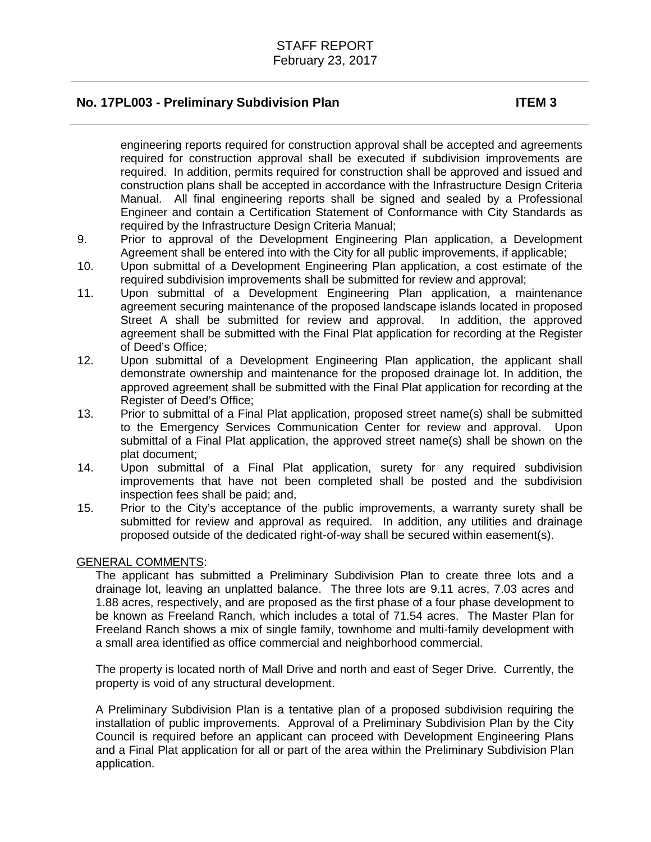engineering reports required for construction approval shall be accepted and agreements required for construction approval shall be executed if subdivision improvements are required. In addition, permits required for construction shall be approved and issued and construction plans shall be accepted in accordance with the Infrastructure Design Criteria Manual. All final engineering reports shall be signed and sealed by a Professional Engineer and contain a Certification Statement of Conformance with City Standards as required by the Infrastructure Design Criteria Manual;

- 9. Prior to approval of the Development Engineering Plan application, a Development Agreement shall be entered into with the City for all public improvements, if applicable;
- 10. Upon submittal of a Development Engineering Plan application, a cost estimate of the required subdivision improvements shall be submitted for review and approval;
- 11. Upon submittal of a Development Engineering Plan application, a maintenance agreement securing maintenance of the proposed landscape islands located in proposed Street A shall be submitted for review and approval. In addition, the approved agreement shall be submitted with the Final Plat application for recording at the Register of Deed's Office;
- 12. Upon submittal of a Development Engineering Plan application, the applicant shall demonstrate ownership and maintenance for the proposed drainage lot. In addition, the approved agreement shall be submitted with the Final Plat application for recording at the Register of Deed's Office;
- 13. Prior to submittal of a Final Plat application, proposed street name(s) shall be submitted to the Emergency Services Communication Center for review and approval. Upon submittal of a Final Plat application, the approved street name(s) shall be shown on the plat document;
- 14. Upon submittal of a Final Plat application, surety for any required subdivision improvements that have not been completed shall be posted and the subdivision inspection fees shall be paid; and,
- 15. Prior to the City's acceptance of the public improvements, a warranty surety shall be submitted for review and approval as required. In addition, any utilities and drainage proposed outside of the dedicated right-of-way shall be secured within easement(s).

### GENERAL COMMENTS:

The applicant has submitted a Preliminary Subdivision Plan to create three lots and a drainage lot, leaving an unplatted balance. The three lots are 9.11 acres, 7.03 acres and 1.88 acres, respectively, and are proposed as the first phase of a four phase development to be known as Freeland Ranch, which includes a total of 71.54 acres. The Master Plan for Freeland Ranch shows a mix of single family, townhome and multi-family development with a small area identified as office commercial and neighborhood commercial.

The property is located north of Mall Drive and north and east of Seger Drive. Currently, the property is void of any structural development.

A Preliminary Subdivision Plan is a tentative plan of a proposed subdivision requiring the installation of public improvements. Approval of a Preliminary Subdivision Plan by the City Council is required before an applicant can proceed with Development Engineering Plans and a Final Plat application for all or part of the area within the Preliminary Subdivision Plan application.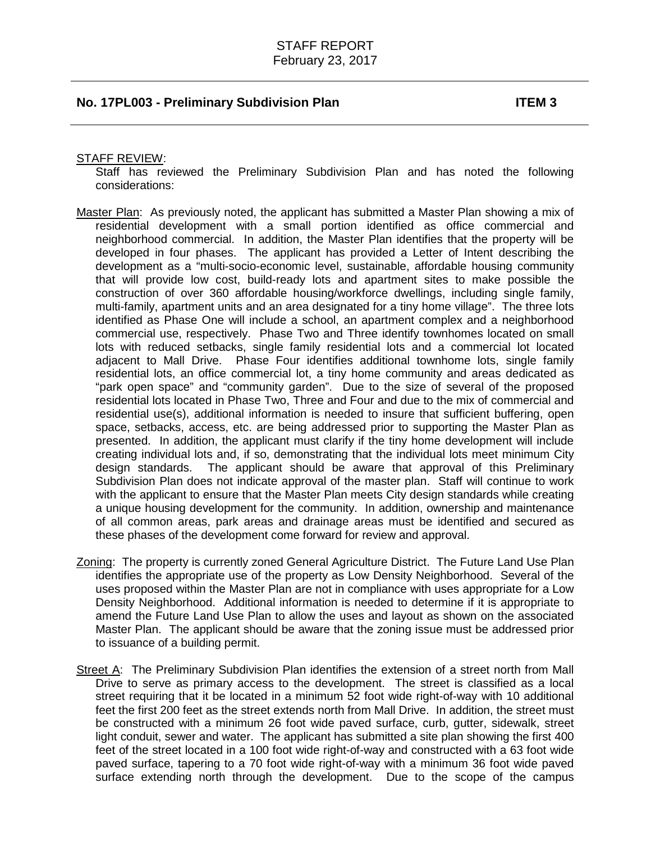#### STAFF REVIEW:

Staff has reviewed the Preliminary Subdivision Plan and has noted the following considerations:

- Master Plan: As previously noted, the applicant has submitted a Master Plan showing a mix of residential development with a small portion identified as office commercial and neighborhood commercial. In addition, the Master Plan identifies that the property will be developed in four phases. The applicant has provided a Letter of Intent describing the development as a "multi-socio-economic level, sustainable, affordable housing community that will provide low cost, build-ready lots and apartment sites to make possible the construction of over 360 affordable housing/workforce dwellings, including single family, multi-family, apartment units and an area designated for a tiny home village". The three lots identified as Phase One will include a school, an apartment complex and a neighborhood commercial use, respectively. Phase Two and Three identify townhomes located on small lots with reduced setbacks, single family residential lots and a commercial lot located adjacent to Mall Drive. Phase Four identifies additional townhome lots, single family residential lots, an office commercial lot, a tiny home community and areas dedicated as "park open space" and "community garden". Due to the size of several of the proposed residential lots located in Phase Two, Three and Four and due to the mix of commercial and residential use(s), additional information is needed to insure that sufficient buffering, open space, setbacks, access, etc. are being addressed prior to supporting the Master Plan as presented. In addition, the applicant must clarify if the tiny home development will include creating individual lots and, if so, demonstrating that the individual lots meet minimum City design standards. The applicant should be aware that approval of this Preliminary Subdivision Plan does not indicate approval of the master plan. Staff will continue to work with the applicant to ensure that the Master Plan meets City design standards while creating a unique housing development for the community. In addition, ownership and maintenance of all common areas, park areas and drainage areas must be identified and secured as these phases of the development come forward for review and approval.
- Zoning: The property is currently zoned General Agriculture District. The Future Land Use Plan identifies the appropriate use of the property as Low Density Neighborhood. Several of the uses proposed within the Master Plan are not in compliance with uses appropriate for a Low Density Neighborhood. Additional information is needed to determine if it is appropriate to amend the Future Land Use Plan to allow the uses and layout as shown on the associated Master Plan. The applicant should be aware that the zoning issue must be addressed prior to issuance of a building permit.
- Street A: The Preliminary Subdivision Plan identifies the extension of a street north from Mall Drive to serve as primary access to the development. The street is classified as a local street requiring that it be located in a minimum 52 foot wide right-of-way with 10 additional feet the first 200 feet as the street extends north from Mall Drive. In addition, the street must be constructed with a minimum 26 foot wide paved surface, curb, gutter, sidewalk, street light conduit, sewer and water. The applicant has submitted a site plan showing the first 400 feet of the street located in a 100 foot wide right-of-way and constructed with a 63 foot wide paved surface, tapering to a 70 foot wide right-of-way with a minimum 36 foot wide paved surface extending north through the development. Due to the scope of the campus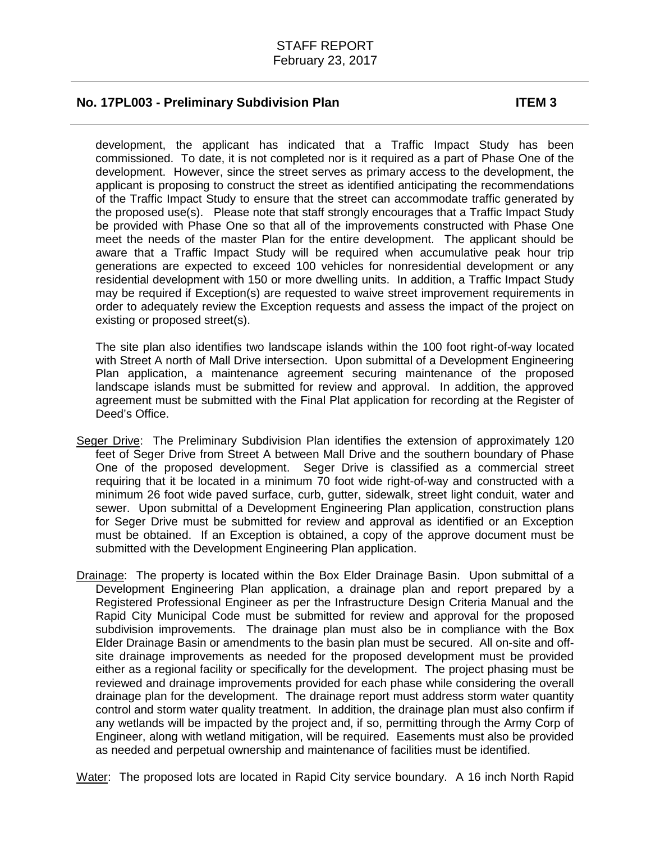development, the applicant has indicated that a Traffic Impact Study has been commissioned. To date, it is not completed nor is it required as a part of Phase One of the development. However, since the street serves as primary access to the development, the applicant is proposing to construct the street as identified anticipating the recommendations of the Traffic Impact Study to ensure that the street can accommodate traffic generated by the proposed use(s). Please note that staff strongly encourages that a Traffic Impact Study be provided with Phase One so that all of the improvements constructed with Phase One meet the needs of the master Plan for the entire development. The applicant should be aware that a Traffic Impact Study will be required when accumulative peak hour trip generations are expected to exceed 100 vehicles for nonresidential development or any residential development with 150 or more dwelling units. In addition, a Traffic Impact Study may be required if Exception(s) are requested to waive street improvement requirements in order to adequately review the Exception requests and assess the impact of the project on existing or proposed street(s).

The site plan also identifies two landscape islands within the 100 foot right-of-way located with Street A north of Mall Drive intersection. Upon submittal of a Development Engineering Plan application, a maintenance agreement securing maintenance of the proposed landscape islands must be submitted for review and approval. In addition, the approved agreement must be submitted with the Final Plat application for recording at the Register of Deed's Office.

- Seger Drive: The Preliminary Subdivision Plan identifies the extension of approximately 120 feet of Seger Drive from Street A between Mall Drive and the southern boundary of Phase One of the proposed development. Seger Drive is classified as a commercial street requiring that it be located in a minimum 70 foot wide right-of-way and constructed with a minimum 26 foot wide paved surface, curb, gutter, sidewalk, street light conduit, water and sewer. Upon submittal of a Development Engineering Plan application, construction plans for Seger Drive must be submitted for review and approval as identified or an Exception must be obtained. If an Exception is obtained, a copy of the approve document must be submitted with the Development Engineering Plan application.
- Drainage: The property is located within the Box Elder Drainage Basin. Upon submittal of a Development Engineering Plan application, a drainage plan and report prepared by a Registered Professional Engineer as per the Infrastructure Design Criteria Manual and the Rapid City Municipal Code must be submitted for review and approval for the proposed subdivision improvements. The drainage plan must also be in compliance with the Box Elder Drainage Basin or amendments to the basin plan must be secured. All on-site and offsite drainage improvements as needed for the proposed development must be provided either as a regional facility or specifically for the development. The project phasing must be reviewed and drainage improvements provided for each phase while considering the overall drainage plan for the development. The drainage report must address storm water quantity control and storm water quality treatment. In addition, the drainage plan must also confirm if any wetlands will be impacted by the project and, if so, permitting through the Army Corp of Engineer, along with wetland mitigation, will be required. Easements must also be provided as needed and perpetual ownership and maintenance of facilities must be identified.

Water: The proposed lots are located in Rapid City service boundary. A 16 inch North Rapid